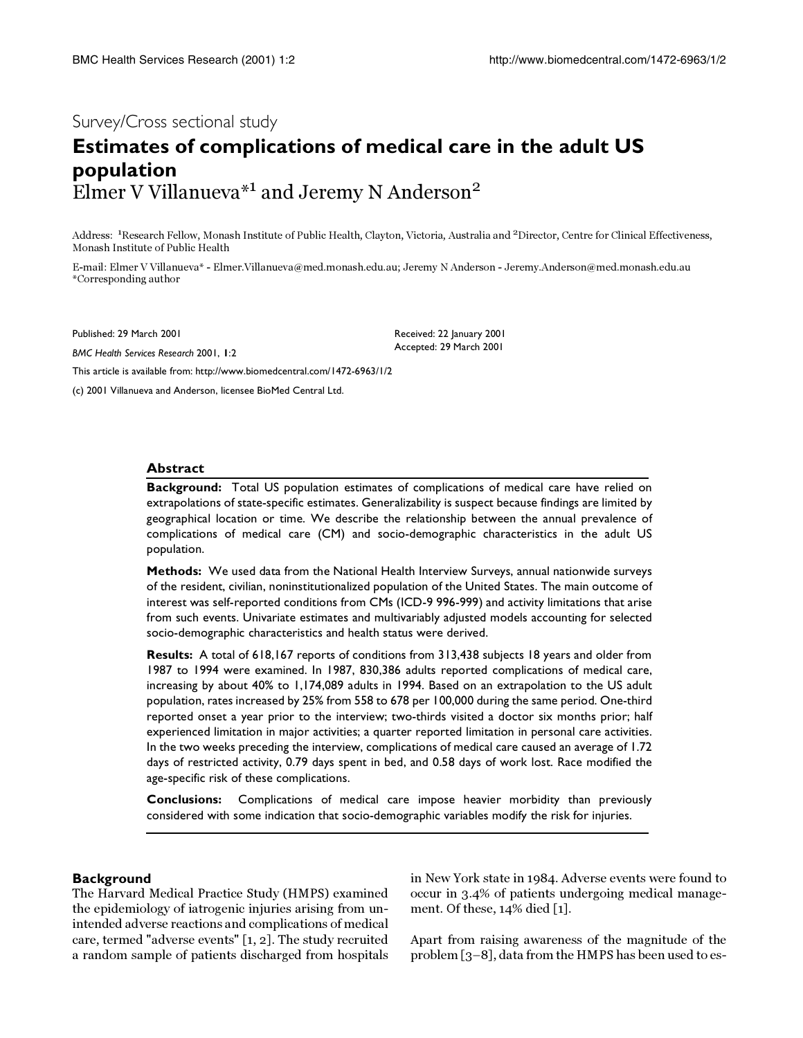# Survey/Cross sectional study **Estimates of complications of medical care in the adult US population**  $\rm \dot{E}$ lmer V Villanueva $^{*1}$  and Jeremy N Anderson $^2$

Address: <sup>1</sup>Research Fellow, Monash Institute of Public Health, Clayton, Victoria, Australia and <sup>2</sup>Director, Centre for Clinical Effectiveness, Monash Institute of Public Health

E-mail: Elmer V Villanueva\* - Elmer.Villanueva@med.monash.edu.au; Jeremy N Anderson - Jeremy.Anderson@med.monash.edu.au \*Corresponding author

Published: 29 March 2001

*BMC Health Services Research* 2001, **1**:2

Received: 22 January 2001 Accepted: 29 March 2001

[This article is available from: http://www.biomedcentral.com/1472-6963/1/2](http://www.biomedcentral.com/1472-6963/1/2)

(c) 2001 Villanueva and Anderson, licensee BioMed Central Ltd.

### **Abstract**

**Background:** Total US population estimates of complications of medical care have relied on extrapolations of state-specific estimates. Generalizability is suspect because findings are limited by geographical location or time. We describe the relationship between the annual prevalence of complications of medical care (CM) and socio-demographic characteristics in the adult US population.

**Methods:** We used data from the National Health Interview Surveys, annual nationwide surveys of the resident, civilian, noninstitutionalized population of the United States. The main outcome of interest was self-reported conditions from CMs (ICD-9 996-999) and activity limitations that arise from such events. Univariate estimates and multivariably adjusted models accounting for selected socio-demographic characteristics and health status were derived.

**Results:** A total of 618,167 reports of conditions from 313,438 subjects 18 years and older from 1987 to 1994 were examined. In 1987, 830,386 adults reported complications of medical care, increasing by about 40% to 1,174,089 adults in 1994. Based on an extrapolation to the US adult population, rates increased by 25% from 558 to 678 per 100,000 during the same period. One-third reported onset a year prior to the interview; two-thirds visited a doctor six months prior; half experienced limitation in major activities; a quarter reported limitation in personal care activities. In the two weeks preceding the interview, complications of medical care caused an average of 1.72 days of restricted activity, 0.79 days spent in bed, and 0.58 days of work lost. Race modified the age-specific risk of these complications.

**Conclusions:** Complications of medical care impose heavier morbidity than previously considered with some indication that socio-demographic variables modify the risk for injuries.

## **Background**

The Harvard Medical Practice Study (HMPS) examined the epidemiology of iatrogenic injuries arising from unintended adverse reactions and complications of medical care, termed "adverse events" [[1,](#page-7-0) [2](#page-7-1)]. The study recruited a random sample of patients discharged from hospitals in New York state in 1984. Adverse events were found to occur in 3.4% of patients undergoing medical management. Of these, 14% died [[1\]](#page-7-0).

Apart from raising awareness of the magnitude of the problem [[3](#page-7-2)[–8](#page-8-0)], data from the HMPS has been used to es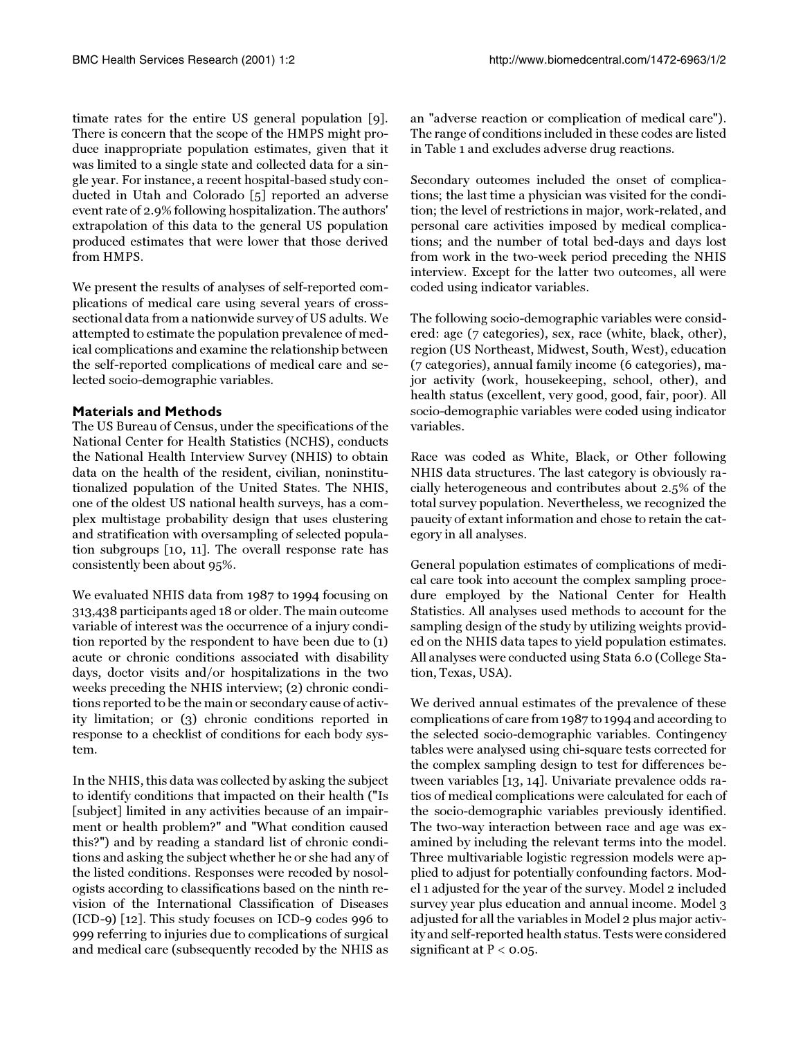timate rates for the entire US general population [\[9\]](#page-8-1). There is concern that the scope of the HMPS might produce inappropriate population estimates, given that it was limited to a single state and collected data for a single year. For instance, a recent hospital-based study conducted in Utah and Colorado [\[5](#page-7-3)] reported an adverse event rate of 2.9% following hospitalization. The authors' extrapolation of this data to the general US population produced estimates that were lower that those derived from HMPS.

We present the results of analyses of self-reported complications of medical care using several years of crosssectional data from a nationwide survey of US adults. We attempted to estimate the population prevalence of medical complications and examine the relationship between the self-reported complications of medical care and selected socio-demographic variables.

## **Materials and Methods**

The US Bureau of Census, under the specifications of the National Center for Health Statistics (NCHS), conducts the National Health Interview Survey (NHIS) to obtain data on the health of the resident, civilian, noninstitutionalized population of the United States. The NHIS, one of the oldest US national health surveys, has a complex multistage probability design that uses clustering and stratification with oversampling of selected population subgroups [[10](#page-8-2), [11](#page-8-3)]. The overall response rate has consistently been about 95%.

We evaluated NHIS data from 1987 to 1994 focusing on 313,438 participants aged 18 or older. The main outcome variable of interest was the occurrence of a injury condition reported by the respondent to have been due to (1) acute or chronic conditions associated with disability days, doctor visits and/or hospitalizations in the two weeks preceding the NHIS interview; (2) chronic conditions reported to be the main or secondary cause of activity limitation; or (3) chronic conditions reported in response to a checklist of conditions for each body system.

In the NHIS, this data was collected by asking the subject to identify conditions that impacted on their health ("Is [subject] limited in any activities because of an impairment or health problem?" and "What condition caused this?") and by reading a standard list of chronic conditions and asking the subject whether he or she had any of the listed conditions. Responses were recoded by nosologists according to classifications based on the ninth revision of the International Classification of Diseases (ICD-9) [[12](#page-8-4)]. This study focuses on ICD-9 codes 996 to 999 referring to injuries due to complications of surgical and medical care (subsequently recoded by the NHIS as an "adverse reaction or complication of medical care"). The range of conditions included in these codes are listed in Table [1](#page-1-0) and excludes adverse drug reactions.

Secondary outcomes included the onset of complications; the last time a physician was visited for the condition; the level of restrictions in major, work-related, and personal care activities imposed by medical complications; and the number of total bed-days and days lost from work in the two-week period preceding the NHIS interview. Except for the latter two outcomes, all were coded using indicator variables.

The following socio-demographic variables were considered: age (7 categories), sex, race (white, black, other), region (US Northeast, Midwest, South, West), education (7 categories), annual family income (6 categories), major activity (work, housekeeping, school, other), and health status (excellent, very good, good, fair, poor). All socio-demographic variables were coded using indicator variables.

Race was coded as White, Black, or Other following NHIS data structures. The last category is obviously racially heterogeneous and contributes about 2.5% of the total survey population. Nevertheless, we recognized the paucity of extant information and chose to retain the category in all analyses.

General population estimates of complications of medical care took into account the complex sampling procedure employed by the National Center for Health Statistics. All analyses used methods to account for the sampling design of the study by utilizing weights provided on the NHIS data tapes to yield population estimates. All analyses were conducted using Stata 6.0 (College Station, Texas, USA).

<span id="page-1-0"></span>We derived annual estimates of the prevalence of these complications of care from 1987 to 1994 and according to the selected socio-demographic variables. Contingency tables were analysed using chi-square tests corrected for the complex sampling design to test for differences between variables [[13](#page-8-5), [14](#page-8-6)]. Univariate prevalence odds ratios of medical complications were calculated for each of the socio-demographic variables previously identified. The two-way interaction between race and age was examined by including the relevant terms into the model. Three multivariable logistic regression models were applied to adjust for potentially confounding factors. Model 1 adjusted for the year of the survey. Model 2 included survey year plus education and annual income. Model 3 adjusted for all the variables in Model 2 plus major activity and self-reported health status. Tests were considered significant at  $P < 0.05$ .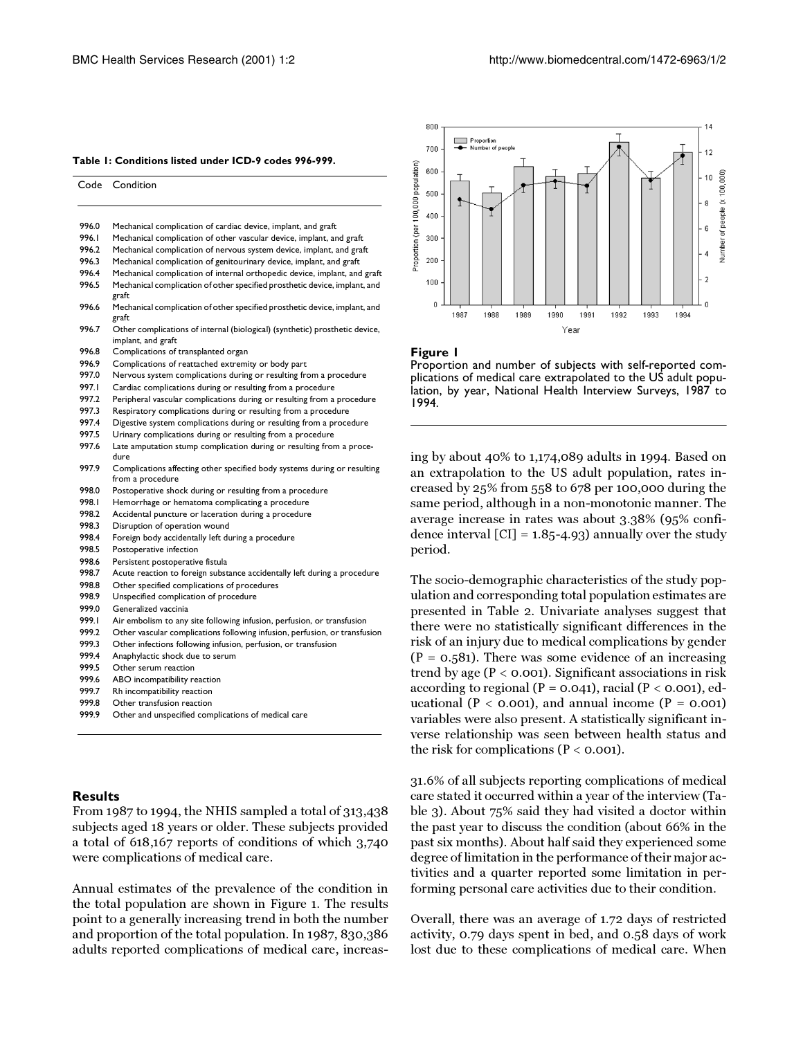#### **Table 1: Conditions listed under ICD-9 codes 996-999.**

| Code  | Condition                                                                                         |
|-------|---------------------------------------------------------------------------------------------------|
| 996.0 | Mechanical complication of cardiac device, implant, and graft                                     |
| 996.I | Mechanical complication of other vascular device, implant, and graft                              |
| 996.2 | Mechanical complication of nervous system device, implant, and graft                              |
| 996.3 | Mechanical complication of genitourinary device, implant, and graft                               |
| 996.4 | Mechanical complication of internal orthopedic device, implant, and graft                         |
| 996.5 | Mechanical complication of other specified prosthetic device, implant, and<br>graft               |
| 996.6 | Mechanical complication of other specified prosthetic device, implant, and<br>graft               |
| 996.7 | Other complications of internal (biological) (synthetic) prosthetic device,<br>implant, and graft |
| 996.8 | Complications of transplanted organ                                                               |
| 996.9 | Complications of reattached extremity or body part                                                |
| 997.0 | Nervous system complications during or resulting from a procedure                                 |
| 997.I | Cardiac complications during or resulting from a procedure                                        |
| 997.2 | Peripheral vascular complications during or resulting from a procedure                            |
| 997.3 | Respiratory complications during or resulting from a procedure                                    |
| 997.4 | Digestive system complications during or resulting from a procedure                               |
| 997.5 | Urinary complications during or resulting from a procedure                                        |
| 997.6 | Late amputation stump complication during or resulting from a proce-<br>dure                      |
| 997.9 | Complications affecting other specified body systems during or resulting<br>from a procedure      |
| 998.0 | Postoperative shock during or resulting from a procedure                                          |
| 998.1 | Hemorrhage or hematoma complicating a procedure                                                   |
| 998.2 | Accidental puncture or laceration during a procedure                                              |
| 998.3 | Disruption of operation wound                                                                     |
| 998.4 | Foreign body accidentally left during a procedure                                                 |
| 998.5 | Postoperative infection                                                                           |
| 998.6 | Persistent postoperative fistula                                                                  |
| 998.7 | Acute reaction to foreign substance accidentally left during a procedure                          |
| 998.8 | Other specified complications of procedures                                                       |
| 998.9 | Unspecified complication of procedure                                                             |
| 999.0 | Generalized vaccinia                                                                              |
| 999.1 | Air embolism to any site following infusion, perfusion, or transfusion                            |
| 999.2 | Other vascular complications following infusion, perfusion, or transfusion                        |
| 999.3 | Other infections following infusion, perfusion, or transfusion                                    |
| 999.4 | Anaphylactic shock due to serum                                                                   |
| 999.5 | Other serum reaction                                                                              |
| 999.6 | ABO incompatibility reaction                                                                      |
| 999.7 | Rh incompatibility reaction                                                                       |
| 999.8 | Other transfusion reaction                                                                        |
| 999.9 | Other and unspecified complications of medical care                                               |

## **Results**

From 1987 to 1994, the NHIS sampled a total of 313,438 subjects aged 18 years or older. These subjects provided a total of 618,167 reports of conditions of which 3,740 were complications of medical care.

Annual estimates of the prevalence of the condition in the total population are shown in Figure [1](#page-2-0). The results point to a generally increasing trend in both the number and proportion of the total population. In 1987, 830,386 adults reported complications of medical care, increas-



#### <span id="page-2-0"></span>**Figure 1**

Proportion and number of subjects with self-reported complications of medical care extrapolated to the US adult population, by year, National Health Interview Surveys, 1987 to 1994.

ing by about 40% to 1,174,089 adults in 1994. Based on an extrapolation to the US adult population, rates increased by 25% from 558 to 678 per 100,000 during the same period, although in a non-monotonic manner. The average increase in rates was about 3.38% (95% confidence interval  $[CI] = 1.85 - 4.93$  annually over the study period.

The socio-demographic characteristics of the study population and corresponding total population estimates are presented in Table [2](#page-3-0). Univariate analyses suggest that there were no statistically significant differences in the risk of an injury due to medical complications by gender  $(P = 0.581)$ . There was some evidence of an increasing trend by age ( $P < 0.001$ ). Significant associations in risk according to regional ( $P = 0.041$ ), racial ( $P < 0.001$ ), educational ( $P < 0.001$ ), and annual income ( $P = 0.001$ ) variables were also present. A statistically significant inverse relationship was seen between health status and the risk for complications ( $P < 0.001$ ).

31.6% of all subjects reporting complications of medical care stated it occurred within a year of the interview (Table [3\)](#page-4-0). About 75% said they had visited a doctor within the past year to discuss the condition (about 66% in the past six months). About half said they experienced some degree of limitation in the performance of their major activities and a quarter reported some limitation in performing personal care activities due to their condition.

Overall, there was an average of 1.72 days of restricted activity, 0.79 days spent in bed, and 0.58 days of work lost due to these complications of medical care. When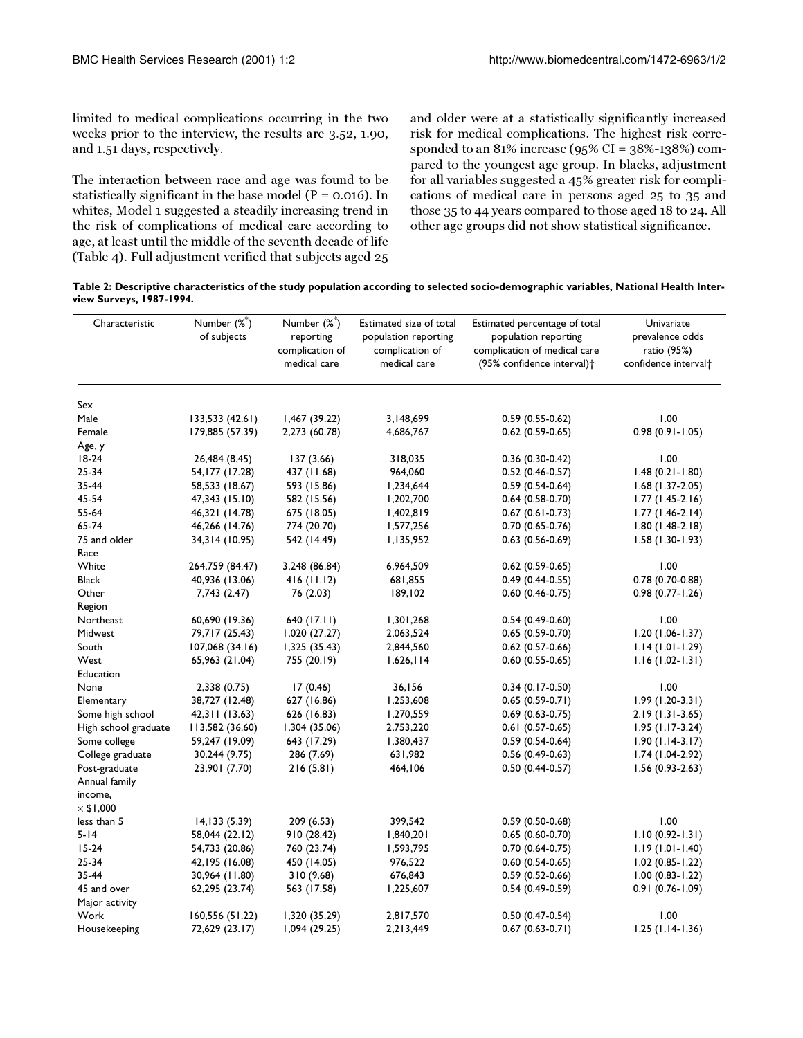limited to medical complications occurring in the two weeks prior to the interview, the results are 3.52, 1.90, and 1.51 days, respectively.

The interaction between race and age was found to be statistically significant in the base model ( $P = 0.016$ ). In whites, Model 1 suggested a steadily increasing trend in the risk of complications of medical care according to age, at least until the middle of the seventh decade of life (Table [4\)](#page-5-0). Full adjustment verified that subjects aged 25

<span id="page-3-0"></span>and older were at a statistically significantly increased risk for medical complications. The highest risk corresponded to an 81% increase (95% CI =  $38\%$ -138%) compared to the youngest age group. In blacks, adjustment for all variables suggested a 45% greater risk for complications of medical care in persons aged 25 to 35 and those 35 to 44 years compared to those aged 18 to 24. All other age groups did not show statistical significance.

**Table 2: Descriptive characteristics of the study population according to selected socio-demographic variables, National Health Interview Surveys, 1987-1994.**

| Characteristic                 | Number (%*)<br>of subjects | Number (%*)<br>reporting<br>complication of<br>medical care | Estimated size of total<br>population reporting<br>complication of<br>medical care | Estimated percentage of total<br>population reporting<br>complication of medical care<br>(95% confidence interval)+ | Univariate<br>prevalence odds<br>ratio (95%)<br>confidence interval <sup>+</sup> |
|--------------------------------|----------------------------|-------------------------------------------------------------|------------------------------------------------------------------------------------|---------------------------------------------------------------------------------------------------------------------|----------------------------------------------------------------------------------|
| Sex                            |                            |                                                             |                                                                                    |                                                                                                                     |                                                                                  |
| Male                           | 133,533 (42.61)            | 1,467 (39.22)                                               | 3,148,699                                                                          | $0.59(0.55-0.62)$                                                                                                   | 1.00                                                                             |
| Female                         | 179,885 (57.39)            | 2,273 (60.78)                                               | 4,686,767                                                                          | $0.62$ (0.59-0.65)                                                                                                  | $0.98(0.91 - 1.05)$                                                              |
| Age, y                         |                            |                                                             |                                                                                    |                                                                                                                     |                                                                                  |
| $18-24$                        | 26,484 (8.45)              | 137(3.66)                                                   | 318,035                                                                            | $0.36(0.30-0.42)$                                                                                                   | 1.00                                                                             |
| 25-34                          | 54, 177 (17.28)            | 437 (11.68)                                                 | 964,060                                                                            | $0.52(0.46-0.57)$                                                                                                   | $1.48(0.21 - 1.80)$                                                              |
| 35-44                          | 58,533 (18.67)             | 593 (15.86)                                                 | 1,234,644                                                                          | $0.59(0.54-0.64)$                                                                                                   | $1.68(1.37-2.05)$                                                                |
| 45-54                          | 47,343 (15.10)             | 582 (15.56)                                                 | 1,202,700                                                                          | $0.64(0.58-0.70)$                                                                                                   | $1.77(1.45-2.16)$                                                                |
| 55-64                          | 46,321 (14.78)             | 675 (18.05)                                                 | 1,402,819                                                                          | $0.67(0.61 - 0.73)$                                                                                                 | $1.77(1.46-2.14)$                                                                |
| 65-74                          | 46,266 (14.76)             | 774 (20.70)                                                 | 1,577,256                                                                          | $0.70(0.65-0.76)$                                                                                                   | $1.80(1.48-2.18)$                                                                |
| 75 and older                   | 34,314 (10.95)             | 542 (14.49)                                                 | 1,135,952                                                                          | $0.63(0.56-0.69)$                                                                                                   | $1.58(1.30-1.93)$                                                                |
| Race                           |                            |                                                             |                                                                                    |                                                                                                                     |                                                                                  |
| White                          | 264,759 (84.47)            | 3,248 (86.84)                                               | 6,964,509                                                                          | $0.62$ (0.59-0.65)                                                                                                  | 1.00                                                                             |
| <b>Black</b>                   | 40,936 (13.06)             | 416 (11.12)                                                 | 681,855                                                                            | $0.49(0.44-0.55)$                                                                                                   | $0.78(0.70-0.88)$                                                                |
| Other                          | 7,743 (2.47)               | 76 (2.03)                                                   | 189,102                                                                            | $0.60(0.46-0.75)$                                                                                                   | 0.98 (0.77-1.26)                                                                 |
| Region                         |                            |                                                             |                                                                                    |                                                                                                                     |                                                                                  |
| Northeast                      | 60,690 (19.36)             | 640 (17.11)                                                 | 1,301,268                                                                          | $0.54(0.49-0.60)$                                                                                                   | 1.00                                                                             |
| Midwest                        | 79,717 (25.43)             | 1,020 (27.27)                                               | 2,063,524                                                                          | $0.65(0.59-0.70)$                                                                                                   | $1.20(1.06-1.37)$                                                                |
| South                          | 107,068 (34.16)            | 1,325 (35.43)                                               | 2,844,560                                                                          | $0.62$ (0.57-0.66)                                                                                                  | $1.14(1.01-1.29)$                                                                |
| West                           | 65,963 (21.04)             | 755 (20.19)                                                 | 1,626,114                                                                          | $0.60(0.55-0.65)$                                                                                                   | $1.16(1.02-1.31)$                                                                |
| Education                      |                            |                                                             |                                                                                    |                                                                                                                     |                                                                                  |
| None                           | 2,338 (0.75)               | 17(0.46)                                                    | 36,156                                                                             | $0.34(0.17-0.50)$                                                                                                   | 1.00                                                                             |
| Elementary                     | 38,727 (12.48)             | 627 (16.86)                                                 | 1,253,608                                                                          | $0.65(0.59-0.71)$                                                                                                   | $1.99(1.20-3.31)$                                                                |
| Some high school               | 42,311 (13.63)             | 626 (16.83)                                                 | 1,270,559                                                                          | $0.69(0.63 - 0.75)$                                                                                                 | 2.19 (1.31-3.65)                                                                 |
| High school graduate           | 113,582 (36.60)            | 1,304 (35.06)                                               | 2,753,220                                                                          | $0.61(0.57-0.65)$                                                                                                   | $1.95(1.17-3.24)$                                                                |
| Some college                   | 59,247 (19.09)             | 643 (17.29)                                                 | 1,380,437                                                                          | $0.59(0.54-0.64)$                                                                                                   | $1.90(1.14-3.17)$                                                                |
| College graduate               | 30,244 (9.75)              | 286 (7.69)                                                  | 631,982                                                                            | $0.56(0.49-0.63)$                                                                                                   | $1.74(1.04-2.92)$                                                                |
| Post-graduate<br>Annual family | 23,901 (7.70)              | 216(5.81)                                                   | 464,106                                                                            | $0.50(0.44-0.57)$                                                                                                   | $1.56(0.93-2.63)$                                                                |
| income,                        |                            |                                                             |                                                                                    |                                                                                                                     |                                                                                  |
| $\times$ \$1,000               |                            |                                                             |                                                                                    |                                                                                                                     |                                                                                  |
| less than 5                    | 14,133(5.39)               | 209 (6.53)                                                  | 399,542                                                                            | $0.59(0.50-0.68)$                                                                                                   | 1.00                                                                             |
| $5 - 14$                       | 58,044 (22.12)             | 910 (28.42)                                                 | 1,840,201                                                                          | $0.65(0.60-0.70)$                                                                                                   | $1.10(0.92 - 1.31)$                                                              |
| $15 - 24$                      | 54,733 (20.86)             | 760 (23.74)                                                 | 1,593,795                                                                          | $0.70(0.64-0.75)$                                                                                                   | $1.19(1.01-1.40)$                                                                |
| 25-34<br>35-44                 | 42,195 (16.08)             | 450 (14.05)                                                 | 976,522                                                                            | $0.60(0.54-0.65)$                                                                                                   | $1.02(0.85 - 1.22)$                                                              |
|                                | 30,964 (11.80)             | 310 (9.68)                                                  | 676,843                                                                            | $0.59(0.52-0.66)$                                                                                                   | $1.00(0.83 - 1.22)$                                                              |
| 45 and over                    | 62,295 (23.74)             | 563 (17.58)                                                 | 1,225,607                                                                          | $0.54(0.49-0.59)$                                                                                                   | 0.91 (0.76-1.09)                                                                 |
| Major activity<br>Work         | 160,556 (51.22)            | 1,320 (35.29)                                               | 2,817,570                                                                          | $0.50(0.47-0.54)$                                                                                                   | 1.00                                                                             |
| Housekeeping                   | 72,629 (23.17)             | 1,094 (29.25)                                               | 2,213,449                                                                          | $0.67(0.63-0.71)$                                                                                                   | $1.25$ (1.14-1.36)                                                               |
|                                |                            |                                                             |                                                                                    |                                                                                                                     |                                                                                  |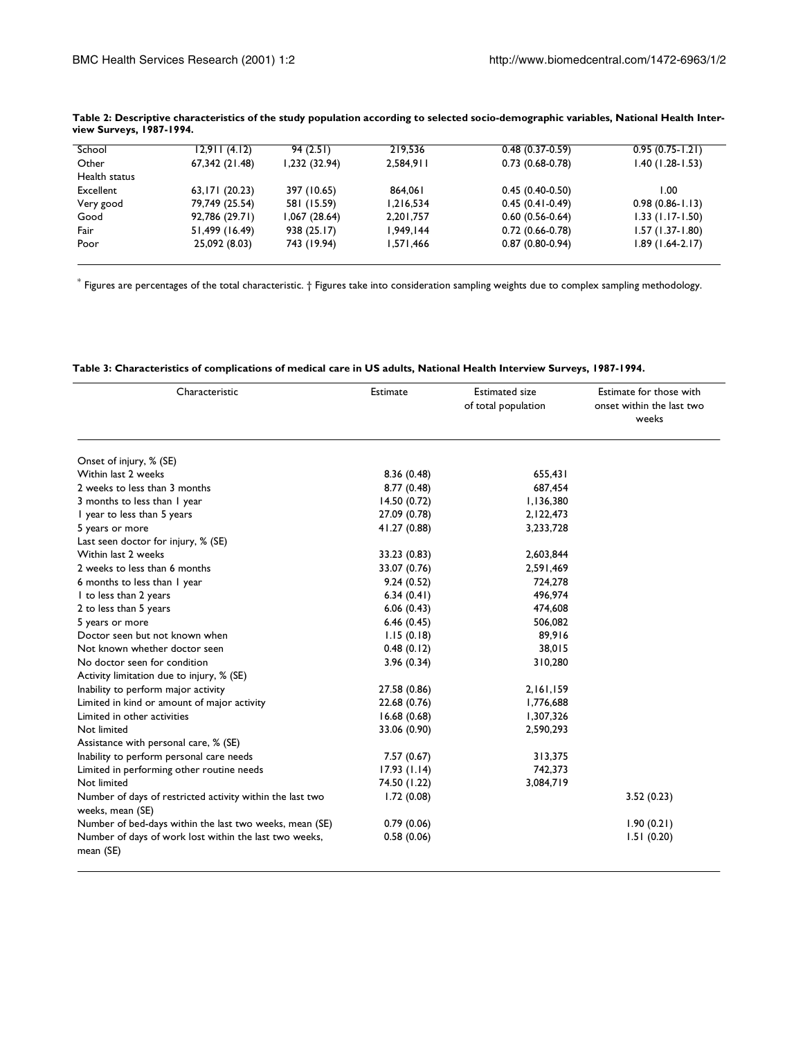| School        | 12,911(4.12)   | 94(2.51)       | 219.536   | $0.48(0.37-0.59)$ | $0.95(0.75 - 1.21)$ |
|---------------|----------------|----------------|-----------|-------------------|---------------------|
| Other         | 67,342 (21.48) | (32.94) 232, ا | 2,584,911 | $0.73(0.68-0.78)$ | $1.40(1.28-1.53)$   |
| Health status |                |                |           |                   |                     |
| Excellent     | 63,171 (20.23) | 397 (10.65)    | 864.061   | $0.45(0.40-0.50)$ | 1.00                |
| Very good     | 79,749 (25.54) | 581 (15.59)    | 1,216,534 | $0.45(0.41-0.49)$ | $0.98(0.86 - 1.13)$ |
| Good          | 92,786 (29.71) | (28.64) 067, ا | 2,201,757 | $0.60(0.56-0.64)$ | $1.33(1.17-1.50)$   |
| Fair          | 51,499 (16.49) | 938 (25.17)    | 1,949,144 | $0.72(0.66-0.78)$ | $1.57(1.37 - 1.80)$ |
| Poor          | 25,092 (8.03)  | 743 (19.94)    | 1,571,466 | $0.87(0.80-0.94)$ | $1.89(1.64-2.17)$   |
|               |                |                |           |                   |                     |

**Table 2: Descriptive characteristics of the study population according to selected socio-demographic variables, National Health Interview Surveys, 1987-1994.**

\* Figures are percentages of the total characteristic. † Figures take into consideration sampling weights due to complex sampling methodology.

<span id="page-4-0"></span>

|  |  |  | Table 3: Characteristics of complications of medical care in US adults, National Health Interview Surveys, 1987-1994. |
|--|--|--|-----------------------------------------------------------------------------------------------------------------------|
|--|--|--|-----------------------------------------------------------------------------------------------------------------------|

| Characteristic                                                                | Estimate     | <b>Estimated size</b><br>of total population | Estimate for those with<br>onset within the last two<br>weeks |
|-------------------------------------------------------------------------------|--------------|----------------------------------------------|---------------------------------------------------------------|
| Onset of injury, % (SE)                                                       |              |                                              |                                                               |
| Within last 2 weeks                                                           | 8.36 (0.48)  | 655,431                                      |                                                               |
| 2 weeks to less than 3 months                                                 | 8.77 (0.48)  | 687,454                                      |                                                               |
| 3 months to less than I year                                                  | 14.50(0.72)  | 1,136,380                                    |                                                               |
| I year to less than 5 years                                                   | 27.09 (0.78) | 2,122,473                                    |                                                               |
| 5 years or more                                                               | 41.27 (0.88) | 3,233,728                                    |                                                               |
| Last seen doctor for injury, % (SE)                                           |              |                                              |                                                               |
| Within last 2 weeks                                                           | 33.23 (0.83) | 2,603,844                                    |                                                               |
| 2 weeks to less than 6 months                                                 | 33.07 (0.76) | 2,591,469                                    |                                                               |
| 6 months to less than I year                                                  | 9.24(0.52)   | 724,278                                      |                                                               |
| I to less than 2 years                                                        | 6.34(0.41)   | 496,974                                      |                                                               |
| 2 to less than 5 years                                                        | 6.06(0.43)   | 474,608                                      |                                                               |
| 5 years or more                                                               | 6.46(0.45)   | 506,082                                      |                                                               |
| Doctor seen but not known when                                                | 1.15(0.18)   | 89,916                                       |                                                               |
| Not known whether doctor seen                                                 | 0.48(0.12)   | 38,015                                       |                                                               |
| No doctor seen for condition                                                  | 3.96(0.34)   | 310,280                                      |                                                               |
| Activity limitation due to injury, % (SE)                                     |              |                                              |                                                               |
| Inability to perform major activity                                           | 27.58 (0.86) | 2,161,159                                    |                                                               |
| Limited in kind or amount of major activity                                   | 22.68 (0.76) | 1,776,688                                    |                                                               |
| Limited in other activities                                                   | 16.68(0.68)  | 1,307,326                                    |                                                               |
| Not limited                                                                   | 33.06 (0.90) | 2,590,293                                    |                                                               |
| Assistance with personal care, % (SE)                                         |              |                                              |                                                               |
| Inability to perform personal care needs                                      | 7.57(0.67)   | 313,375                                      |                                                               |
| Limited in performing other routine needs                                     | 17.93(1.14)  | 742,373                                      |                                                               |
| Not limited                                                                   | 74.50 (1.22) | 3,084,719                                    |                                                               |
| Number of days of restricted activity within the last two<br>weeks, mean (SE) | 1.72(0.08)   |                                              | 3.52(0.23)                                                    |
| Number of bed-days within the last two weeks, mean (SE)                       | 0.79(0.06)   |                                              | 1.90(0.21)                                                    |
| Number of days of work lost within the last two weeks,<br>mean (SE)           | 0.58(0.06)   |                                              | 1.51(0.20)                                                    |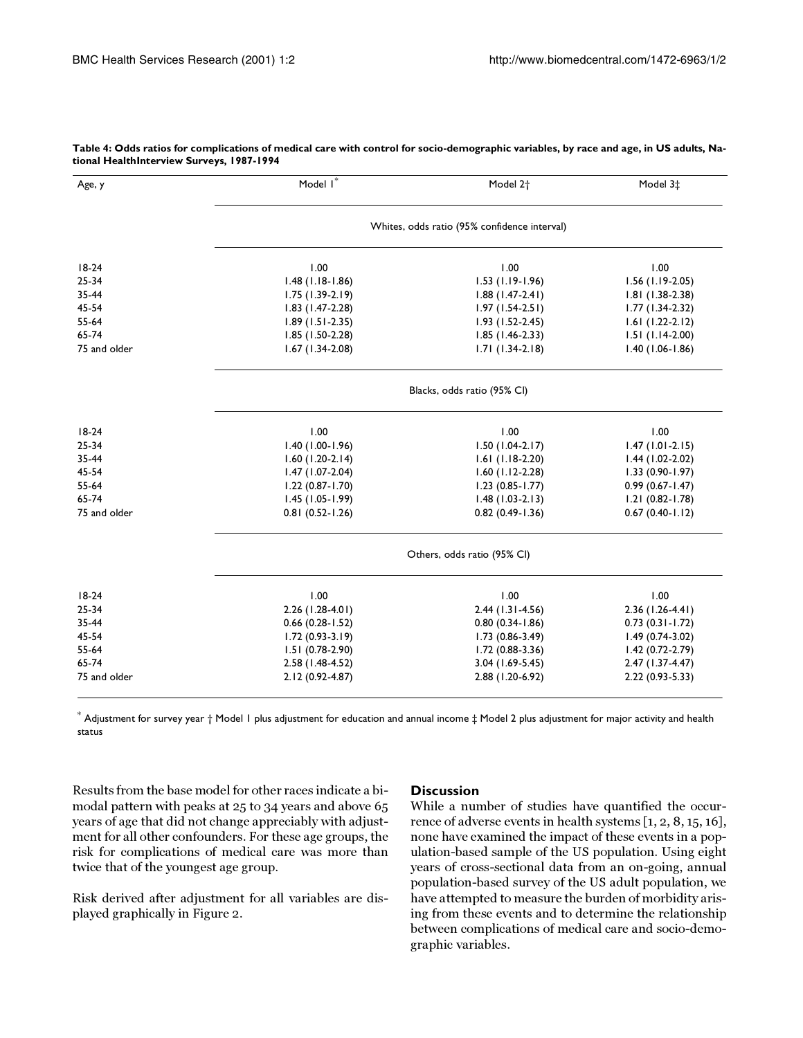| Age, y       | Model $I^*$         | Model 2 <sup>+</sup>                         | Model 3 <sup>+</sup> |
|--------------|---------------------|----------------------------------------------|----------------------|
|              |                     | Whites, odds ratio (95% confidence interval) |                      |
| $18-24$      | 1.00                | 1.00                                         | 1.00                 |
| $25 - 34$    | $1.48(1.18-1.86)$   | $1.53(1.19-1.96)$                            | $1.56(1.19-2.05)$    |
| 35-44        | $1.75(1.39-2.19)$   | $1.88(1.47 - 2.41)$                          | $1.81(1.38-2.38)$    |
| 45-54        | $1.83(1.47-2.28)$   | $1.97(1.54-2.51)$                            | $1.77(1.34-2.32)$    |
| 55-64        | $1.89(1.51 - 2.35)$ | 1.93 (1.52-2.45)                             | $1.61(1.22-2.12)$    |
| 65-74        | $1.85(1.50-2.28)$   | $1.85(1.46-2.33)$                            | $1.51(1.14-2.00)$    |
| 75 and older | $1.67(1.34-2.08)$   | $1.71(1.34-2.18)$                            | $1.40(1.06 - 1.86)$  |
|              |                     | Blacks, odds ratio (95% Cl)                  |                      |
| $18-24$      | 1.00                | 1.00                                         | 1.00                 |
| $25 - 34$    | $1.40(1.00-1.96)$   | $1.50(1.04-2.17)$                            | $1.47(1.01 - 2.15)$  |
| 35-44        | $1.60(1.20-2.14)$   | $1.61$ (1.18-2.20)                           | $1.44(1.02-2.02)$    |
| 45-54        | $1.47(1.07-2.04)$   | $1.60$ (1.12-2.28)                           | $1.33(0.90 - 1.97)$  |
| 55-64        | $1.22(0.87 - 1.70)$ | $1.23(0.85 - 1.77)$                          | $0.99(0.67 - 1.47)$  |
| 65-74        | $1.45(1.05-1.99)$   | $1.48(1.03 - 2.13)$                          | $1.21(0.82 - 1.78)$  |
| 75 and older | $0.81(0.52 - 1.26)$ | $0.82(0.49 - 1.36)$                          | $0.67(0.40-1.12)$    |
|              |                     | Others, odds ratio (95% CI)                  |                      |
| $18-24$      | 1.00                | 1.00                                         | 1.00                 |
| $25 - 34$    | $2.26(1.28-4.01)$   | 2.44 (1.31-4.56)                             | $2.36(1.26 - 4.41)$  |
| 35-44        | $0.66(0.28-1.52)$   | $0.80(0.34-1.86)$                            | $0.73(0.31-1.72)$    |
| 45-54        | 1.72 (0.93-3.19)    | $1.73(0.86 - 3.49)$                          | $1.49(0.74-3.02)$    |
| 55-64        | $1.51(0.78-2.90)$   | 1.72 (0.88-3.36)                             | $1.42(0.72 - 2.79)$  |
| 65-74        | 2.58 (1.48-4.52)    | 3.04 (1.69-5.45)                             | 2.47 (1.37-4.47)     |
|              |                     |                                              |                      |

<span id="page-5-0"></span>

|                                           | Table 4: Odds ratios for complications of medical care with control for socio-demographic variables, by race and age, in US adults, Na- |  |  |
|-------------------------------------------|-----------------------------------------------------------------------------------------------------------------------------------------|--|--|
| tional HealthInterview Surveys, 1987-1994 |                                                                                                                                         |  |  |

\* Adjustment for survey year † Model 1 plus adjustment for education and annual income ‡ Model 2 plus adjustment for major activity and health status

Results from the base model for other races indicate a bimodal pattern with peaks at 25 to 34 years and above 65 years of age that did not change appreciably with adjustment for all other confounders. For these age groups, the risk for complications of medical care was more than twice that of the youngest age group.

Risk derived after adjustment for all variables are displayed graphically in Figure [2](#page-6-0).

# **Discussion**

While a number of studies have quantified the occurrence of adverse events in health systems [\[1](#page-7-0), [2,](#page-7-1) [8](#page-8-0), [15](#page-8-7), [16\]](#page-8-8), none have examined the impact of these events in a population-based sample of the US population. Using eight years of cross-sectional data from an on-going, annual population-based survey of the US adult population, we have attempted to measure the burden of morbidity arising from these events and to determine the relationship between complications of medical care and socio-demographic variables.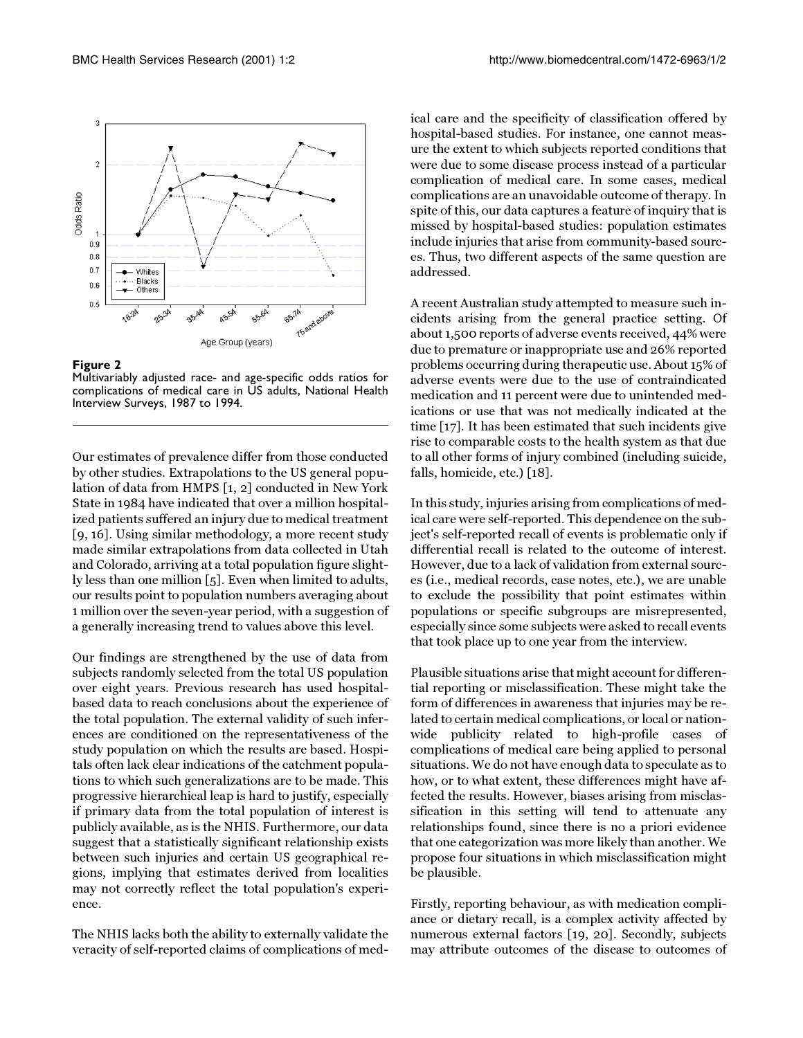

#### <span id="page-6-0"></span>**Figure 2**

Multivariably adjusted race- and age-specific odds ratios for complications of medical care in US adults, National Health Interview Surveys, 1987 to 1994.

Our estimates of prevalence differ from those conducted by other studies. Extrapolations to the US general population of data from HMPS [[1,](#page-7-0) [2\]](#page-7-1) conducted in New York State in 1984 have indicated that over a million hospitalized patients suffered an injury due to medical treatment [[9](#page-8-1), [16](#page-8-8)]. Using similar methodology, a more recent study made similar extrapolations from data collected in Utah and Colorado, arriving at a total population figure slightly less than one million [\[5](#page-7-3)]. Even when limited to adults, our results point to population numbers averaging about 1 million over the seven-year period, with a suggestion of a generally increasing trend to values above this level.

Our findings are strengthened by the use of data from subjects randomly selected from the total US population over eight years. Previous research has used hospitalbased data to reach conclusions about the experience of the total population. The external validity of such inferences are conditioned on the representativeness of the study population on which the results are based. Hospitals often lack clear indications of the catchment populations to which such generalizations are to be made. This progressive hierarchical leap is hard to justify, especially if primary data from the total population of interest is publicly available, as is the NHIS. Furthermore, our data suggest that a statistically significant relationship exists between such injuries and certain US geographical regions, implying that estimates derived from localities may not correctly reflect the total population's experience.

The NHIS lacks both the ability to externally validate the veracity of self-reported claims of complications of medical care and the specificity of classification offered by hospital-based studies. For instance, one cannot measure the extent to which subjects reported conditions that were due to some disease process instead of a particular complication of medical care. In some cases, medical complications are an unavoidable outcome of therapy. In spite of this, our data captures a feature of inquiry that is missed by hospital-based studies: population estimates include injuries that arise from community-based sources. Thus, two different aspects of the same question are addressed.

A recent Australian study attempted to measure such incidents arising from the general practice setting. Of about 1,500 reports of adverse events received, 44% were due to premature or inappropriate use and 26% reported problems occurring during therapeutic use. About 15% of adverse events were due to the use of contraindicated medication and 11 percent were due to unintended medications or use that was not medically indicated at the time [[17](#page-8-9)]. It has been estimated that such incidents give rise to comparable costs to the health system as that due to all other forms of injury combined (including suicide, falls, homicide, etc.) [[18](#page-8-10)].

In this study, injuries arising from complications of medical care were self-reported. This dependence on the subject's self-reported recall of events is problematic only if differential recall is related to the outcome of interest. However, due to a lack of validation from external sources (i.e., medical records, case notes, etc.), we are unable to exclude the possibility that point estimates within populations or specific subgroups are misrepresented, especially since some subjects were asked to recall events that took place up to one year from the interview.

Plausible situations arise that might account for differential reporting or misclassification. These might take the form of differences in awareness that injuries may be related to certain medical complications, or local or nationwide publicity related to high-profile cases of complications of medical care being applied to personal situations. We do not have enough data to speculate as to how, or to what extent, these differences might have affected the results. However, biases arising from misclassification in this setting will tend to attenuate any relationships found, since there is no a priori evidence that one categorization was more likely than another. We propose four situations in which misclassification might be plausible.

Firstly, reporting behaviour, as with medication compliance or dietary recall, is a complex activity affected by numerous external factors [\[19](#page-8-11), [20\]](#page-8-12). Secondly, subjects may attribute outcomes of the disease to outcomes of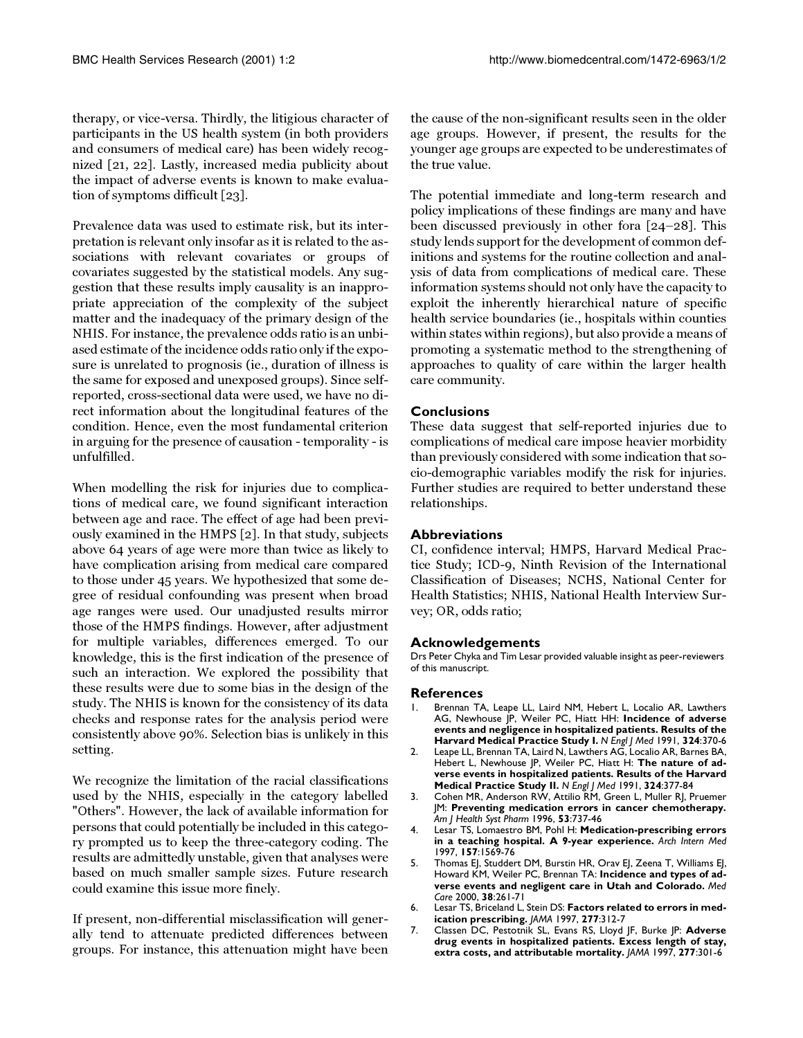therapy, or vice-versa. Thirdly, the litigious character of participants in the US health system (in both providers and consumers of medical care) has been widely recognized [[21](#page-8-13), [22\]](#page-8-14). Lastly, increased media publicity about the impact of adverse events is known to make evaluation of symptoms difficult [\[23](#page-8-15)].

Prevalence data was used to estimate risk, but its interpretation is relevant only insofar as it is related to the associations with relevant covariates or groups of covariates suggested by the statistical models. Any suggestion that these results imply causality is an inappropriate appreciation of the complexity of the subject matter and the inadequacy of the primary design of the NHIS. For instance, the prevalence odds ratio is an unbiased estimate of the incidence odds ratio only if the exposure is unrelated to prognosis (ie., duration of illness is the same for exposed and unexposed groups). Since selfreported, cross-sectional data were used, we have no direct information about the longitudinal features of the condition. Hence, even the most fundamental criterion in arguing for the presence of causation - temporality - is unfulfilled.

When modelling the risk for injuries due to complications of medical care, we found significant interaction between age and race. The effect of age had been previously examined in the HMPS [\[2](#page-7-1)]. In that study, subjects above 64 years of age were more than twice as likely to have complication arising from medical care compared to those under 45 years. We hypothesized that some degree of residual confounding was present when broad age ranges were used. Our unadjusted results mirror those of the HMPS findings. However, after adjustment for multiple variables, differences emerged. To our knowledge, this is the first indication of the presence of such an interaction. We explored the possibility that these results were due to some bias in the design of the study. The NHIS is known for the consistency of its data checks and response rates for the analysis period were consistently above 90%. Selection bias is unlikely in this setting.

We recognize the limitation of the racial classifications used by the NHIS, especially in the category labelled "Others". However, the lack of available information for persons that could potentially be included in this category prompted us to keep the three-category coding. The results are admittedly unstable, given that analyses were based on much smaller sample sizes. Future research could examine this issue more finely.

If present, non-differential misclassification will generally tend to attenuate predicted differences between groups. For instance, this attenuation might have been

the cause of the non-significant results seen in the older age groups. However, if present, the results for the younger age groups are expected to be underestimates of the true value.

The potential immediate and long-term research and policy implications of these findings are many and have been discussed previously in other fora [[24](#page-8-16)–[28](#page-8-17)]. This study lends support for the development of common definitions and systems for the routine collection and analysis of data from complications of medical care. These information systems should not only have the capacity to exploit the inherently hierarchical nature of specific health service boundaries (ie., hospitals within counties within states within regions), but also provide a means of promoting a systematic method to the strengthening of approaches to quality of care within the larger health care community.

# **Conclusions**

These data suggest that self-reported injuries due to complications of medical care impose heavier morbidity than previously considered with some indication that socio-demographic variables modify the risk for injuries. Further studies are required to better understand these relationships.

# **Abbreviations**

CI, confidence interval; HMPS, Harvard Medical Practice Study; ICD-9, Ninth Revision of the International Classification of Diseases; NCHS, National Center for Health Statistics; NHIS, National Health Interview Survey; OR, odds ratio;

# **Acknowledgements**

Drs Peter Chyka and Tim Lesar provided valuable insight as peer-reviewers of this manuscript.

## **References**

- <span id="page-7-0"></span>1. [Brennan TA, Leape LL, Laird NM, Hebert L, Localio AR, Lawthers](http://www.ncbi.nlm.nih.gov/entrez/query.fcgi?cmd=Retrieve&db=PubMed&dopt=Abstract&list_uids=1987460) [AG, Newhouse JP, Weiler PC, Hiatt HH:](http://www.ncbi.nlm.nih.gov/entrez/query.fcgi?cmd=Retrieve&db=PubMed&dopt=Abstract&list_uids=1987460) **Incidence of adverse events and negligence in hospitalized patients. Results of the Harvard Medical Practice Study I.** *N Engl J Med* 1991, **324**:370-6
- <span id="page-7-1"></span>2. [Leape LL, Brennan TA, Laird N, Lawthers AG, Localio AR, Barnes BA,](http://www.ncbi.nlm.nih.gov/entrez/query.fcgi?cmd=Retrieve&db=PubMed&dopt=Abstract&list_uids=1824793) [Hebert L, Newhouse JP, Weiler PC, Hiatt H:](http://www.ncbi.nlm.nih.gov/entrez/query.fcgi?cmd=Retrieve&db=PubMed&dopt=Abstract&list_uids=1824793) **The nature of adverse events in hospitalized patients. Results of the Harvard Medical Practice Study II.** *N Engl J Med* 1991, **324**:377-84
- <span id="page-7-2"></span>3. [Cohen MR, Anderson RW, Attilio RM, Green L, Muller RJ, Pruemer](http://www.ncbi.nlm.nih.gov/entrez/query.fcgi?cmd=Retrieve&db=PubMed&dopt=Abstract&list_uids=8697025) [JM:](http://www.ncbi.nlm.nih.gov/entrez/query.fcgi?cmd=Retrieve&db=PubMed&dopt=Abstract&list_uids=8697025) **Preventing medication errors in cancer chemotherapy.** *Am J Health Syst Pharm* 1996, **53**:737-46
- 4. [Lesar TS, Lomaestro BM, Pohl H:](http://www.ncbi.nlm.nih.gov/entrez/query.fcgi?cmd=Retrieve&db=PubMed&dopt=Abstract&list_uids=9236558) **Medication-prescribing errors in a teaching hospital. A 9-year experience.** *Arch Intern Med* 1997, **157**:1569-76
- <span id="page-7-3"></span>5. [Thomas EJ, Studdert DM, Burstin HR, Orav EJ, Zeena T, Williams EJ,](http://www.ncbi.nlm.nih.gov/entrez/query.fcgi?cmd=Retrieve&db=PubMed&dopt=Abstract&list_uids=10718351) [Howard KM, Weiler PC, Brennan TA:](http://www.ncbi.nlm.nih.gov/entrez/query.fcgi?cmd=Retrieve&db=PubMed&dopt=Abstract&list_uids=10718351) **Incidence and types of adverse events and negligent care in Utah and Colorado.** *Med Care* 2000, **38**:261-71
- 6. [Lesar TS, Briceland L, Stein DS:](http://www.ncbi.nlm.nih.gov/entrez/query.fcgi?cmd=Retrieve&db=PubMed&dopt=Abstract&list_uids=9002494) **Factors related to errors in medication prescribing.** *JAMA* 1997, **277**:312-7
- 7. [Classen DC, Pestotnik SL, Evans RS, Lloyd JF, Burke JP:](http://www.ncbi.nlm.nih.gov/entrez/query.fcgi?cmd=Retrieve&db=PubMed&dopt=Abstract&list_uids=9002492) **Adverse drug events in hospitalized patients. Excess length of stay, extra costs, and attributable mortality.** *JAMA* 1997, **277**:301-6